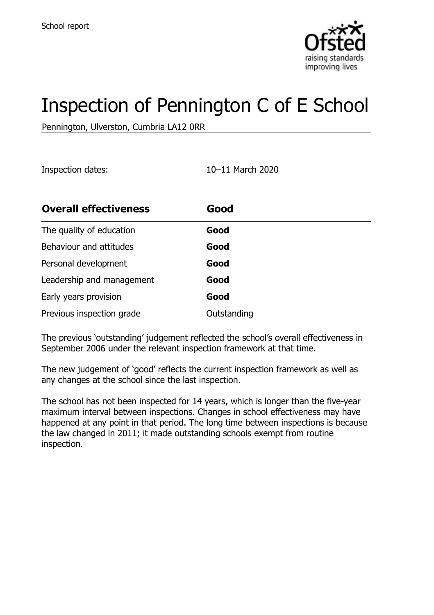

# Inspection of Pennington C of E School

Pennington, Ulverston, Cumbria LA12 0RR

Inspection dates: 10–11 March 2020

| <b>Overall effectiveness</b> | Good        |
|------------------------------|-------------|
| The quality of education     | Good        |
| Behaviour and attitudes      | Good        |
| Personal development         | Good        |
| Leadership and management    | Good        |
| Early years provision        | Good        |
| Previous inspection grade    | Outstanding |

The previous 'outstanding' judgement reflected the school's overall effectiveness in September 2006 under the relevant inspection framework at that time.

The new judgement of 'good' reflects the current inspection framework as well as any changes at the school since the last inspection.

The school has not been inspected for 14 years, which is longer than the five-year maximum interval between inspections. Changes in school effectiveness may have happened at any point in that period. The long time between inspections is because the law changed in 2011; it made outstanding schools exempt from routine inspection.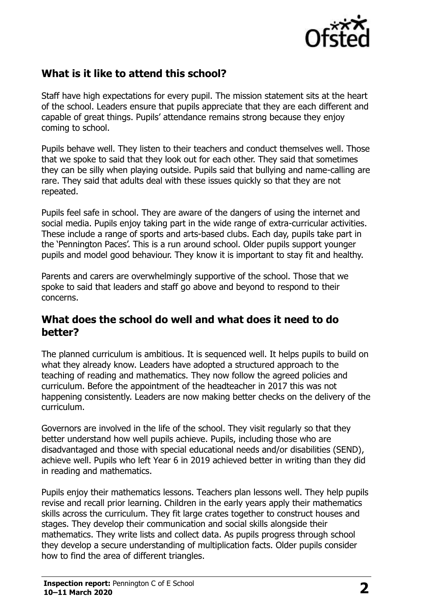

## **What is it like to attend this school?**

Staff have high expectations for every pupil. The mission statement sits at the heart of the school. Leaders ensure that pupils appreciate that they are each different and capable of great things. Pupils' attendance remains strong because they enjoy coming to school.

Pupils behave well. They listen to their teachers and conduct themselves well. Those that we spoke to said that they look out for each other. They said that sometimes they can be silly when playing outside. Pupils said that bullying and name-calling are rare. They said that adults deal with these issues quickly so that they are not repeated.

Pupils feel safe in school. They are aware of the dangers of using the internet and social media. Pupils enjoy taking part in the wide range of extra-curricular activities. These include a range of sports and arts-based clubs. Each day, pupils take part in the 'Pennington Paces'. This is a run around school. Older pupils support younger pupils and model good behaviour. They know it is important to stay fit and healthy.

Parents and carers are overwhelmingly supportive of the school. Those that we spoke to said that leaders and staff go above and beyond to respond to their concerns.

### **What does the school do well and what does it need to do better?**

The planned curriculum is ambitious. It is sequenced well. It helps pupils to build on what they already know. Leaders have adopted a structured approach to the teaching of reading and mathematics. They now follow the agreed policies and curriculum. Before the appointment of the headteacher in 2017 this was not happening consistently. Leaders are now making better checks on the delivery of the curriculum.

Governors are involved in the life of the school. They visit regularly so that they better understand how well pupils achieve. Pupils, including those who are disadvantaged and those with special educational needs and/or disabilities (SEND), achieve well. Pupils who left Year 6 in 2019 achieved better in writing than they did in reading and mathematics.

Pupils enjoy their mathematics lessons. Teachers plan lessons well. They help pupils revise and recall prior learning. Children in the early years apply their mathematics skills across the curriculum. They fit large crates together to construct houses and stages. They develop their communication and social skills alongside their mathematics. They write lists and collect data. As pupils progress through school they develop a secure understanding of multiplication facts. Older pupils consider how to find the area of different triangles.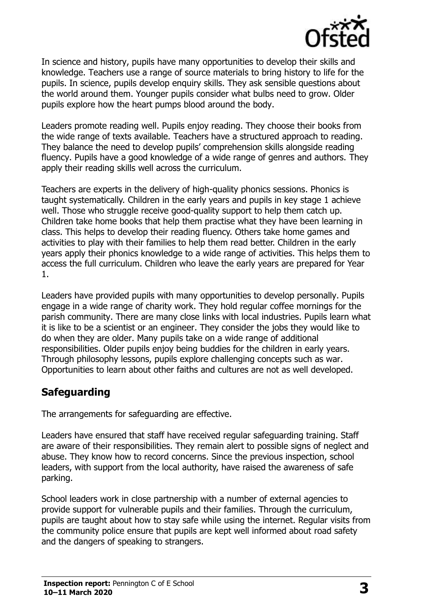

In science and history, pupils have many opportunities to develop their skills and knowledge. Teachers use a range of source materials to bring history to life for the pupils. In science, pupils develop enquiry skills. They ask sensible questions about the world around them. Younger pupils consider what bulbs need to grow. Older pupils explore how the heart pumps blood around the body.

Leaders promote reading well. Pupils enjoy reading. They choose their books from the wide range of texts available. Teachers have a structured approach to reading. They balance the need to develop pupils' comprehension skills alongside reading fluency. Pupils have a good knowledge of a wide range of genres and authors. They apply their reading skills well across the curriculum.

Teachers are experts in the delivery of high-quality phonics sessions. Phonics is taught systematically. Children in the early years and pupils in key stage 1 achieve well. Those who struggle receive good-quality support to help them catch up. Children take home books that help them practise what they have been learning in class. This helps to develop their reading fluency. Others take home games and activities to play with their families to help them read better. Children in the early years apply their phonics knowledge to a wide range of activities. This helps them to access the full curriculum. Children who leave the early years are prepared for Year 1.

Leaders have provided pupils with many opportunities to develop personally. Pupils engage in a wide range of charity work. They hold regular coffee mornings for the parish community. There are many close links with local industries. Pupils learn what it is like to be a scientist or an engineer. They consider the jobs they would like to do when they are older. Many pupils take on a wide range of additional responsibilities. Older pupils enjoy being buddies for the children in early years. Through philosophy lessons, pupils explore challenging concepts such as war. Opportunities to learn about other faiths and cultures are not as well developed.

## **Safeguarding**

The arrangements for safeguarding are effective.

Leaders have ensured that staff have received regular safeguarding training. Staff are aware of their responsibilities. They remain alert to possible signs of neglect and abuse. They know how to record concerns. Since the previous inspection, school leaders, with support from the local authority, have raised the awareness of safe parking.

School leaders work in close partnership with a number of external agencies to provide support for vulnerable pupils and their families. Through the curriculum, pupils are taught about how to stay safe while using the internet. Regular visits from the community police ensure that pupils are kept well informed about road safety and the dangers of speaking to strangers.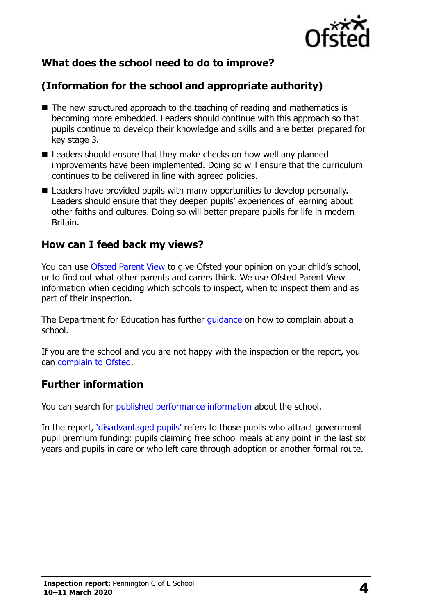

# **What does the school need to do to improve?**

# **(Information for the school and appropriate authority)**

- The new structured approach to the teaching of reading and mathematics is becoming more embedded. Leaders should continue with this approach so that pupils continue to develop their knowledge and skills and are better prepared for key stage 3.
- Leaders should ensure that they make checks on how well any planned improvements have been implemented. Doing so will ensure that the curriculum continues to be delivered in line with agreed policies.
- Leaders have provided pupils with many opportunities to develop personally. Leaders should ensure that they deepen pupils' experiences of learning about other faiths and cultures. Doing so will better prepare pupils for life in modern Britain.

#### **How can I feed back my views?**

You can use [Ofsted Parent View](http://parentview.ofsted.gov.uk/) to give Ofsted your opinion on your child's school, or to find out what other parents and carers think. We use Ofsted Parent View information when deciding which schools to inspect, when to inspect them and as part of their inspection.

The Department for Education has further [guidance](http://www.gov.uk/complain-about-school) on how to complain about a school.

If you are the school and you are not happy with the inspection or the report, you can [complain to Ofsted.](http://www.gov.uk/complain-ofsted-report)

## **Further information**

You can search for [published performance information](http://www.compare-school-performance.service.gov.uk/) about the school.

In the report, '[disadvantaged pupils](http://www.gov.uk/guidance/pupil-premium-information-for-schools-and-alternative-provision-settings)' refers to those pupils who attract government pupil premium funding: pupils claiming free school meals at any point in the last six years and pupils in care or who left care through adoption or another formal route.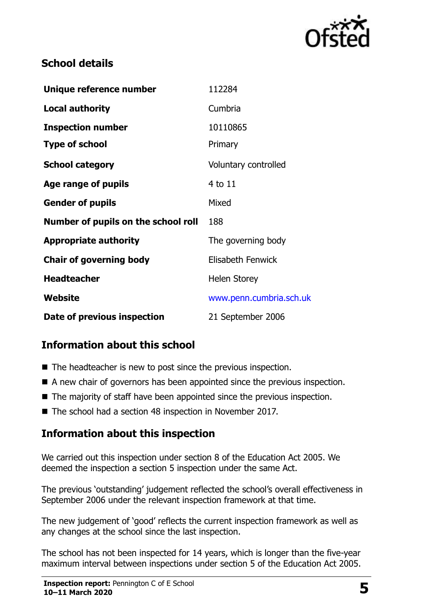

## **School details**

| Unique reference number             | 112284                   |
|-------------------------------------|--------------------------|
| <b>Local authority</b>              | Cumbria                  |
| <b>Inspection number</b>            | 10110865                 |
| <b>Type of school</b>               | Primary                  |
| <b>School category</b>              | Voluntary controlled     |
| Age range of pupils                 | 4 to 11                  |
| <b>Gender of pupils</b>             | Mixed                    |
| Number of pupils on the school roll | 188                      |
| <b>Appropriate authority</b>        | The governing body       |
| <b>Chair of governing body</b>      | <b>Elisabeth Fenwick</b> |
| <b>Headteacher</b>                  | <b>Helen Storey</b>      |
| Website                             | www.penn.cumbria.sch.uk  |
| Date of previous inspection         | 21 September 2006        |

# **Information about this school**

- The headteacher is new to post since the previous inspection.
- A new chair of governors has been appointed since the previous inspection.
- The majority of staff have been appointed since the previous inspection.
- The school had a section 48 inspection in November 2017.

## **Information about this inspection**

We carried out this inspection under section 8 of the Education Act 2005. We deemed the inspection a section 5 inspection under the same Act.

The previous 'outstanding' judgement reflected the school's overall effectiveness in September 2006 under the relevant inspection framework at that time.

The new judgement of 'good' reflects the current inspection framework as well as any changes at the school since the last inspection.

The school has not been inspected for 14 years, which is longer than the five-year maximum interval between inspections under section 5 of the Education Act 2005.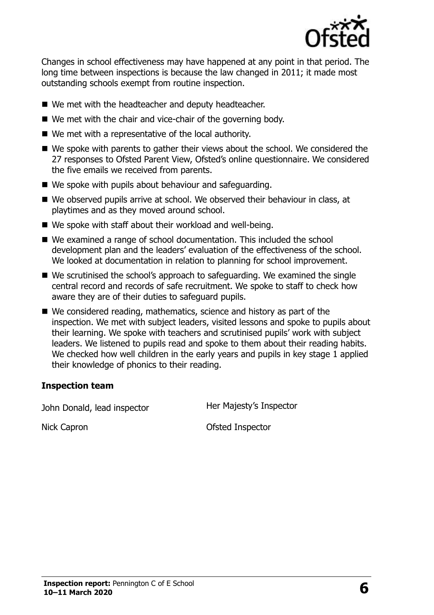

Changes in school effectiveness may have happened at any point in that period. The long time between inspections is because the law changed in 2011; it made most outstanding schools exempt from routine inspection.

- We met with the headteacher and deputy headteacher.
- We met with the chair and vice-chair of the governing body.
- We met with a representative of the local authority.
- We spoke with parents to gather their views about the school. We considered the 27 responses to Ofsted Parent View, Ofsted's online questionnaire. We considered the five emails we received from parents.
- We spoke with pupils about behaviour and safeguarding.
- We observed pupils arrive at school. We observed their behaviour in class, at playtimes and as they moved around school.
- We spoke with staff about their workload and well-being.
- We examined a range of school documentation. This included the school development plan and the leaders' evaluation of the effectiveness of the school. We looked at documentation in relation to planning for school improvement.
- We scrutinised the school's approach to safeguarding. We examined the single central record and records of safe recruitment. We spoke to staff to check how aware they are of their duties to safeguard pupils.
- We considered reading, mathematics, science and history as part of the inspection. We met with subject leaders, visited lessons and spoke to pupils about their learning. We spoke with teachers and scrutinised pupils' work with subject leaders. We listened to pupils read and spoke to them about their reading habits. We checked how well children in the early years and pupils in key stage 1 applied their knowledge of phonics to their reading.

#### **Inspection team**

John Donald, lead inspector **Her Majesty's Inspector** 

Nick Capron **Ofsted Inspector**